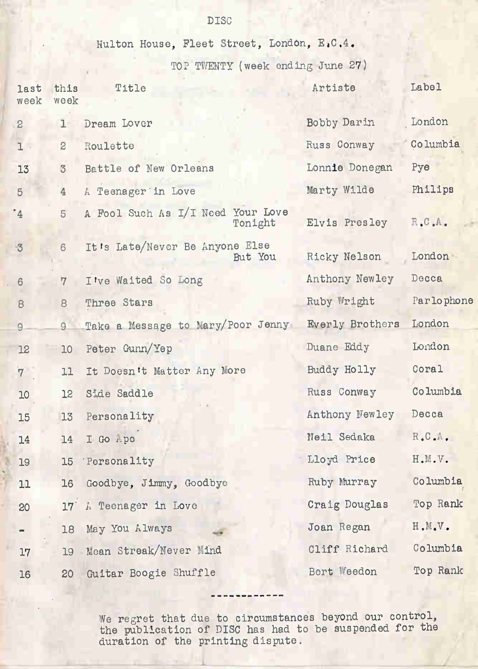DISC

Hulton House, Fleet Street, London, E.C.4.

TOP TWENTY (week ending June 27)

| last<br>week    | this<br>week   | Title                                        | Artiste         | Label                               |
|-----------------|----------------|----------------------------------------------|-----------------|-------------------------------------|
| $\mathbf{S}$    | $1 -$          | Dream Lover                                  | Bobby Darin     | London                              |
| $1$ .           | $\overline{c}$ | Roulette                                     | Russ Conway     | Columbia                            |
| 13              | $\mathcal{Z}$  | Battle of New Orleans                        | Lonnie Donegan  | Pye                                 |
| 5 <sup>5</sup>  | 4              | A Teenager in Love                           | Marty Wilde     | Philips                             |
| $4^{\circ}$     | 5              | A Fool Such As I/I Need Your Love<br>Tonight | Elvis Presley   | R.C.A.                              |
| $\ddot{\circ}$  | 6              | It's Late/Never Be Anyone Else<br>But You    | Ricky Nelson    | London                              |
| $6\phantom{1}$  | $\overline{7}$ | I've Waited So Long                          | Anthony Newley  | Decca                               |
| $\theta$        | 8              | Three Stars                                  | Ruby Wright     | Parlophone                          |
| $\overline{9}$  | 9              | Take a Message to Mary/Poor Jenny            | Everly Brothers | London                              |
| 12              | 10             | Peter Gunn/Yep                               | Duane Eddy      | London                              |
| $7^{\circ}$     | 11             | It Doesn't Matter Any Nore                   | Buddy Holly     | Coral                               |
| 10 <sup>°</sup> | 12             | Side Saddle                                  | Russ Conway     | Columbia                            |
| 15              | 13             | Personality                                  | Anthony Newley  | Decca                               |
| 14              | 14             | I Go Apo                                     | Neil Sedaka     | $R_{\bullet}C_{\bullet}A_{\bullet}$ |
| 19              | 15             | 'Personality                                 | Lloyd Price     | H.M.V.                              |
| 11              | 16             | Goodbye, Jimmy, Goodbye                      | Ruby Murray     | Columbia                            |
| 20              | 17'            | A Teenager in Love                           | Craig Douglas   | Top Rank                            |
|                 | 18             | May You Always                               | Joan Regan      | H.M.V.                              |
| 17              | 19             | Mean Streak/Never Mind                       | Cliff Richard   | Columbia                            |
| 16              | 20             | Guitar Boogie Shuffle                        | Bert Weedon     | Top Rank                            |

We regret that due to circumstances beyond our control, the publlcation of DISC has had to be suspended for the duration of the printing dispute.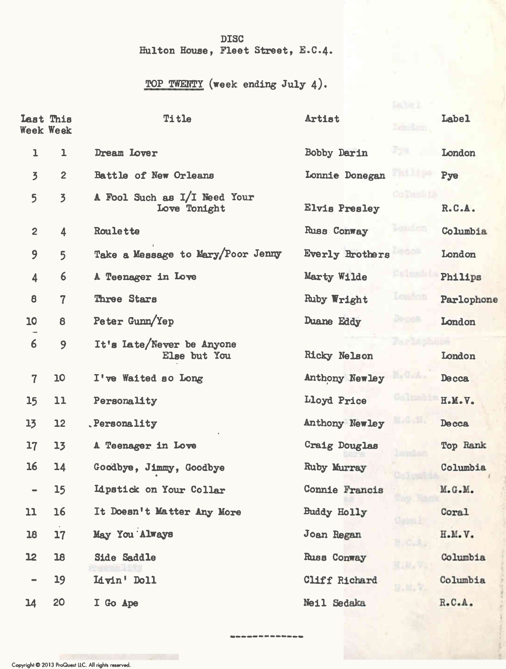## DISC Hulton House, Fleet Street, E.C.4.

## TOP TWENTY (week ending July 4).

|                              | Last This<br><b>Week Week</b> | Title                                        | Artist<br>Lemitem.               | Label        |
|------------------------------|-------------------------------|----------------------------------------------|----------------------------------|--------------|
| ı                            | ı                             | Dream Lover                                  | F391.<br>Bobby Darin             | London       |
| $\overline{5}$               | $\overline{c}$                | Battle of New Orleans                        | Failipe<br>Lonnie Donegan        | Pye          |
| 5                            | $\overline{3}$                | A Fool Such as I/I Need Your<br>Love Tonight | Colombia<br><b>Elvis Presley</b> | R.C.A.       |
| $\overline{2}$               | 4                             | Roulette                                     | Londrin<br>Russ Conway           | Columbia     |
| 9                            | 5                             | Take a Message to Mary/Poor Jenny            | Degga<br><b>Everly Brothers</b>  | London       |
| 4                            | 6                             | A Teenager in Love                           | Culumbi<br>Marty Wilde           | Philips      |
| 8                            | $\overline{7}$                | Three Stars                                  | London<br>Ruby Wright            | Parlophone   |
| 10                           | 8                             | Peter Gunn/Yep                               | De cos.<br>Duane Eddy            | London       |
| 6                            | 9                             | It's Late/Never be Anyone<br>Else but You    | Parlop<br>Ricky Nelson           | London       |
| $\overline{7}$               | 10                            | I've Waited so Long                          | Hy Grace<br>Anthony Newley       | <b>Decca</b> |
| 15                           | 11                            | Personality                                  | Columb<br>Lloyd Price            | H.M.V.       |
| 13                           | $12 \overline{ }$             | Personality                                  | <b>HARANT</b><br>Anthony Newley  | Deca         |
| 17                           | 13                            | A Teenager in Love                           | Craig Douglas                    | Top Rank     |
| 16                           | 14                            | Goodbye, Jimmy, Goodbye                      | Ruby Murray                      | Columbia     |
| $\qquad \qquad \blacksquare$ | 15                            | <b>Idpatick on Your Collar</b>               | Connie Francis<br><b>Rep B</b>   | M.G.M.       |
| 11                           | 16                            | It Doesn't Matter Any More                   | Buddy Holly                      | Coral        |
| 18                           | 17                            | May You Always                               | Joan Regan<br>H.C.A.             | H.M.V.       |
| 12                           | 18                            | Side Saddle                                  | Russ Conway<br>2. M.A            | Columbia     |
| $\qquad \qquad \blacksquare$ | 19                            | Livin' Doll                                  | Cliff Richard<br><b>HANY</b>     | Columbia     |
| 14                           | 20                            | I Go Ape                                     | Neil Sedaka                      | R.C.A.       |

------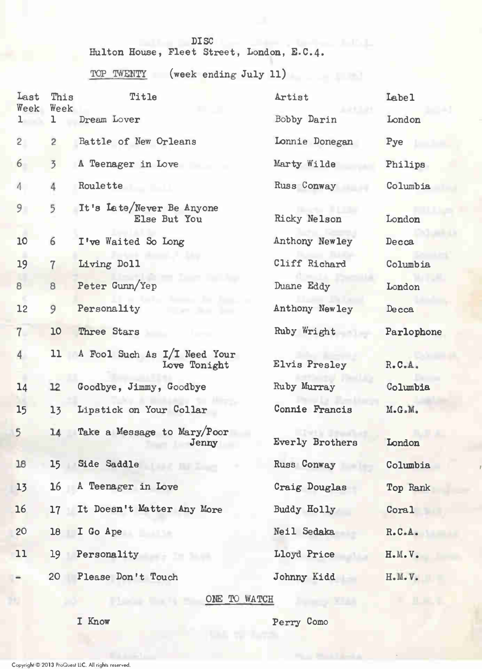## DISC

HUlton House, Fleet Street, London, E-C.4.

TOP TWENTY (week ending July 11)

| Last<br>Week    | This<br>Week    | Title                                        | Artist          | Labe <sub>1</sub> |
|-----------------|-----------------|----------------------------------------------|-----------------|-------------------|
| ı               | ı               | Dream Lover                                  | Bobby Darin     | London            |
| $\overline{2}$  | $\overline{c}$  | Battle of New Orleans                        | Lonnie Donegan  | Pye               |
| $6\overline{6}$ | $\overline{3}$  | A Teenager in Love                           | Marty Wilde     | Philips           |
| $\Lambda$       | 4               | Roulette                                     | Russ Conway     | Columbia          |
| 9               | 5               | It's Late/Never Be Anyone<br>Else But You    | Ricky Nelson    | London            |
| 10              | 6               | I've Waited So Long                          | Anthony Newley  | Decca             |
| 19              | $\overline{7}$  | Living Doll                                  | Cliff Richard   | Columbia          |
| 8               | 8               | Peter Gunn/Yep                               | Duane Eddy      | London            |
| 12              | 9               | Personality                                  | Anthony Newley  | Decca             |
| $7-$            | 10              | Three Stars                                  | Ruby Wright     | Parlophone        |
| $\overline{4}$  | 11              | A Fool Such As I/I Need Your<br>Love Tonight | Elvis Presley   | R.C.A.            |
| 14              | 12              | Goodbye, Jimmy, Goodbye                      | Ruby Murray     | Columbia          |
| 15              | 13              | Lipstick on Your Collar                      | Connie Francis  | M.G.M.            |
| 5               | 14              | Take a Message to Mary/Poor<br>Jenny         | Everly Brothers | London            |
| 18              | 15              | Side Saddle                                  | Russ Conway     | Columbia          |
| 13              | 16              | A Teenager in Love                           | Craig Douglas   | Top Rank          |
| 16              | $17\,$          | It Doesn't Matter Any More                   | Buddy Holly     | Coral             |
| 20              | 18              | I Go Ape                                     | Neil Sedaka     | R.C.A.            |
| 11              | 19 <sup>°</sup> | Personality                                  | Lloyd Price     | H.M.V.            |
|                 | 20              | Please Don't Touch                           | Johnny Kidd     | H.M.V.            |
|                 |                 | ONE TO WATCH                                 |                 |                   |

I Know Perry Como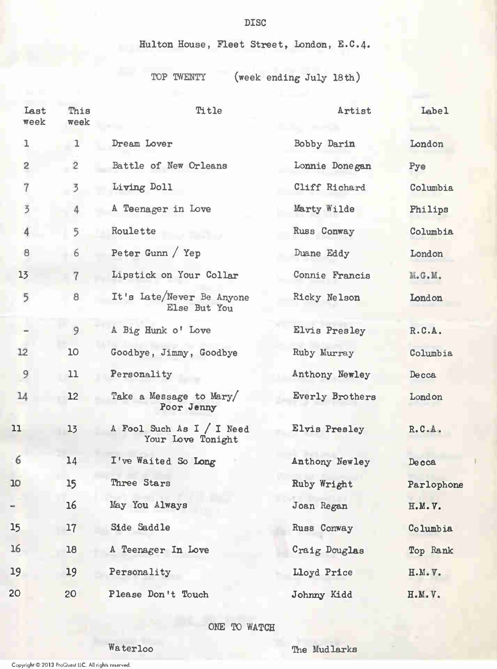Hulton House, Fleet Street, London, E.C.4.

TOP TWENTY (week ending July 18th)

| Last<br>week   | This<br>week   | Title                                          | Artist          | Label        |
|----------------|----------------|------------------------------------------------|-----------------|--------------|
| 1              | ı              | Dream Lover                                    | Bobby Darin     | London       |
| $\overline{c}$ | $\overline{2}$ | Battle of New Orleans                          | Lonnie Donegan  | Pye          |
| $\overline{7}$ | $\overline{3}$ | Living Doll                                    | Cliff Richard   | Columbia     |
| $\overline{3}$ | 4              | A Teenager in Love                             | Marty Wilde     | Philips      |
| $\overline{4}$ | 5              | Roulette                                       | Russ Conway     | Columbia     |
| 8              | 6              | Peter Gunn / Yep                               | Duane Eddy      | London       |
| 13             | $\overline{7}$ | Lipstick on Your Collar                        | Connie Francis  | M.G.M.       |
| 5              | 8              | It's Late/Never Be Anyone<br>Else But You      | Ricky Nelson    | London       |
|                | 9              | A Big Hunk o' Love                             | Elvis Presley   | R.C.A.       |
| 12             | 10             | Goodbye, Jimmy, Goodbye                        | Ruby Murray     | Columbia     |
| 9              | 11             | Personality                                    | Anthony Newley  | Decca        |
| 14             | 12             | Take a Message to Mary/<br>Poor Jenny          | Everly Brothers | London       |
| 11             | 13             | A Fool Such As I / I Need<br>Your Love Tonight | Elvis Presley   | R.C.A.       |
| 6              | 14             | I've Waited So Long                            | Anthony Newley  | <b>Decca</b> |
| 10             | 15             | Three Stars                                    | Ruby Wright     | Parlophone   |
|                | 16             | May You Always                                 | Joan Regan      | H.M.V.       |
| 15             | 17             | Side Saddle                                    | Russ Conway     | Columbia     |
| 16             | 18             | A Teenager In Love                             | Craig Douglas   | Top Rank     |
| 19             | 19             | Personality                                    | Lloyd Price     | H.M.V.       |
| 20             | 20             | Please Don't Touch                             | Johnny Kidd     | H.M.V.       |

ONE TO WATCH